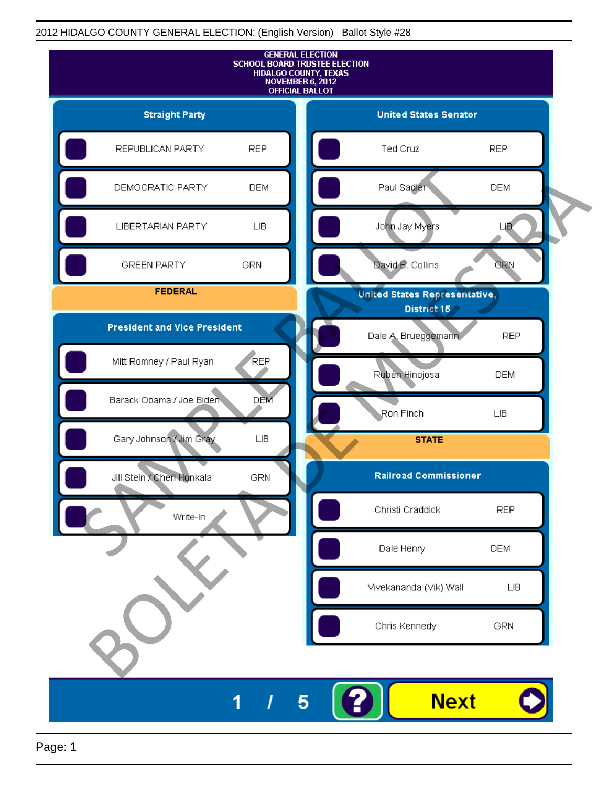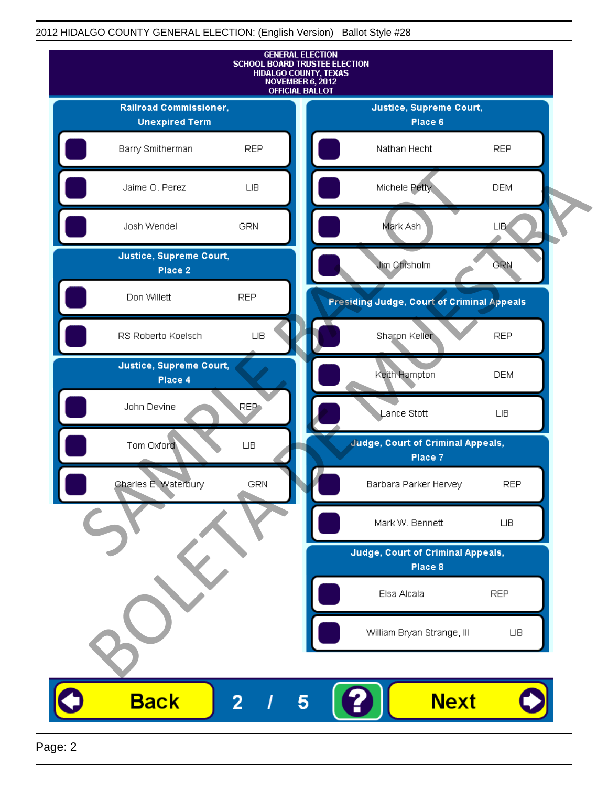![](_page_1_Figure_1.jpeg)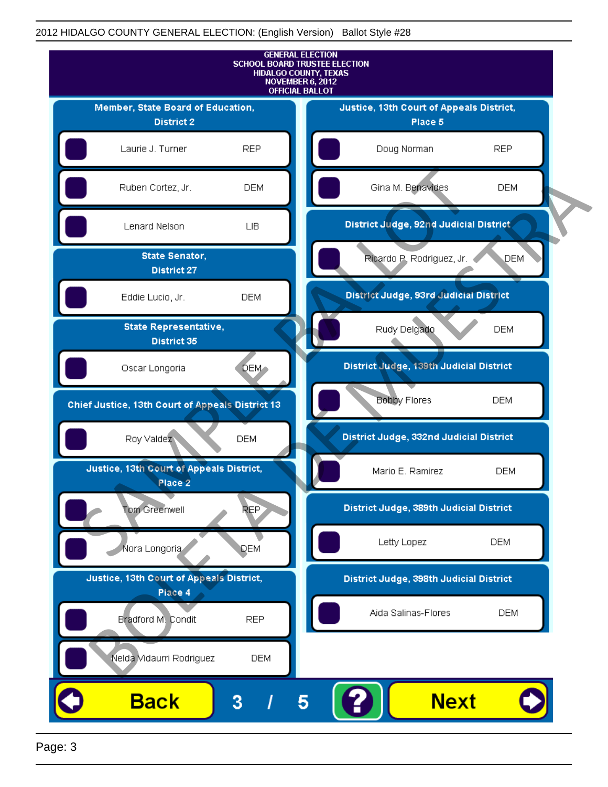![](_page_2_Figure_1.jpeg)

Page: 3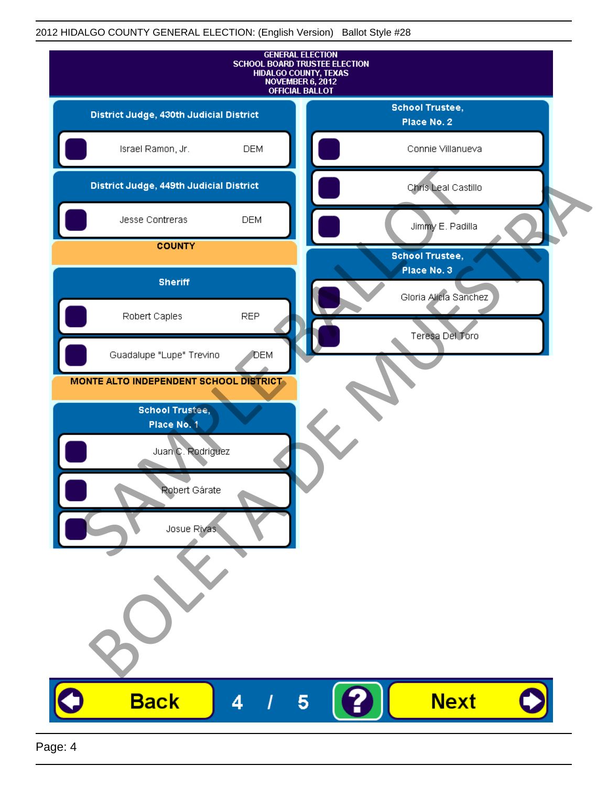|                                         | <b>SCHOOL BOARD TRUSTEE ELECTION</b> | <b>GENERAL ELECTION</b><br>HIDALGO COUNTY, TEXAS<br>NOVEMBER 6, 2012<br><b>OFFICIAL BALLOT</b> |                                       |  |
|-----------------------------------------|--------------------------------------|------------------------------------------------------------------------------------------------|---------------------------------------|--|
| District Judge, 430th Judicial District |                                      |                                                                                                | <b>School Trustee,</b><br>Place No. 2 |  |
| Israel Ramon, Jr.                       | <b>DEM</b>                           |                                                                                                | Connie Villanueva                     |  |
| District Judge, 449th Judicial District |                                      |                                                                                                | Chris Leal Castillo                   |  |
| Jesse Contreras                         | <b>DEM</b>                           |                                                                                                | Jimmy E. Padilla                      |  |
| <b>COUNTY</b>                           |                                      |                                                                                                | <b>School Trustee,</b>                |  |
| <b>Sheriff</b>                          |                                      |                                                                                                | Place No. 3<br>Gloria Alicia Sanchez  |  |
| Robert Caples                           | <b>REP</b>                           |                                                                                                |                                       |  |
| Guadalupe "Lupe" Trevino                | <b>DEM</b>                           |                                                                                                | Teresa Del Toro                       |  |
| MONTE ALTO INDEPENDENT SCHOOL DISTRICT- |                                      |                                                                                                |                                       |  |
| <b>School Trustee,</b><br>Place No. 1   |                                      |                                                                                                |                                       |  |
| Juan C. Rodriguez                       |                                      |                                                                                                |                                       |  |
| Ropert Garate                           |                                      |                                                                                                |                                       |  |
|                                         |                                      |                                                                                                |                                       |  |
| Josue Rivas                             |                                      |                                                                                                |                                       |  |
|                                         |                                      |                                                                                                |                                       |  |
|                                         |                                      |                                                                                                |                                       |  |
|                                         |                                      |                                                                                                |                                       |  |
| <b>Back</b>                             | 4                                    | $\overline{\mathbf{5}}$                                                                        | <b>Next</b>                           |  |
|                                         |                                      |                                                                                                |                                       |  |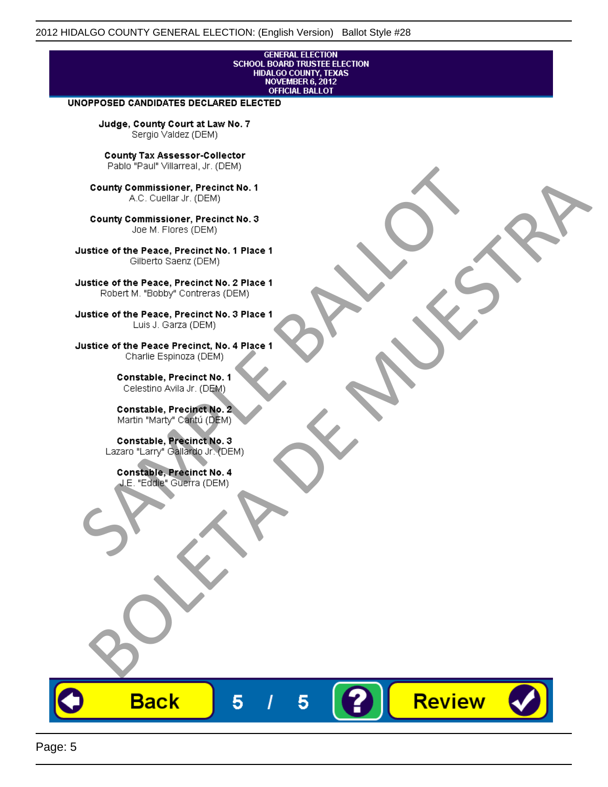## **GENERAL ELECTION** SCHOOL BOARD TRUSTEE ELECTION<br>HIDALGO COUNTY, TEXAS<br>NOVEMBER 6, 2012 **OFFICIAL BALLOT**

Review

#### UNOPPOSED CANDIDATES DECLARED ELECTED

Judge, County Court at Law No. 7 Sergio Valdez (DEM)

County Tax Assessor-Collector

Frame The Passe, Precinct No. 1<br>
County Commissioner, Precinct No. 1<br>
SC. Cutellar Jr. (DEM)<br>
County Commissioner, Precinct No. 2<br>
Ulastice of the Peace, Precinct No. 2<br>
Ulastice of the Peace, Precinct No. 2<br>
Robert M. "Bl County Commissioner, Precinat No. 1<br>
A County Commissioner, Precinat No. 3<br>
Use of the Peace, Precinat No. 3<br>
Use of the Peace, Precinat No. 1<br>
There is a precinc No. 2<br>
There is a precinc No. 2<br>
There is a precinc No. 2<br>

**Back** 

5

5

![](_page_4_Picture_15.jpeg)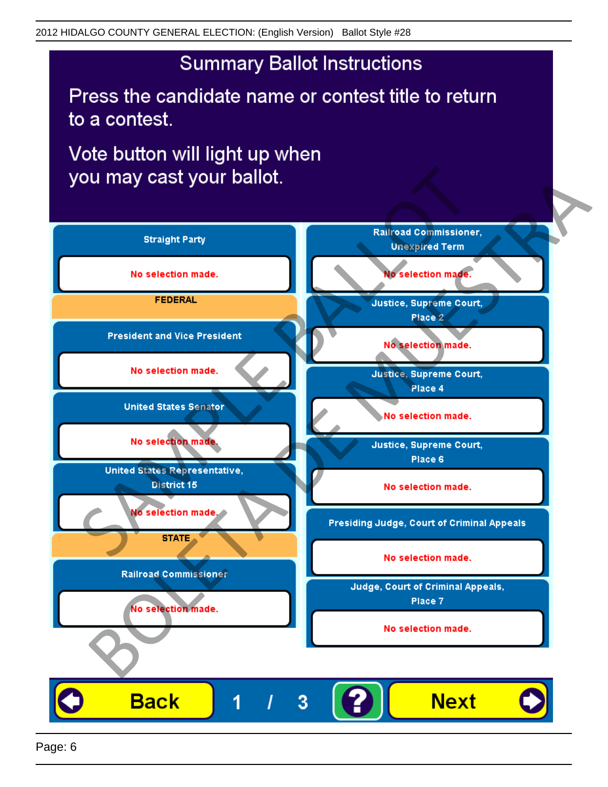# **Summary Ballot Instructions**

Press the candidate name or contest title to return to a contest.

Vote button will light up when

![](_page_5_Figure_4.jpeg)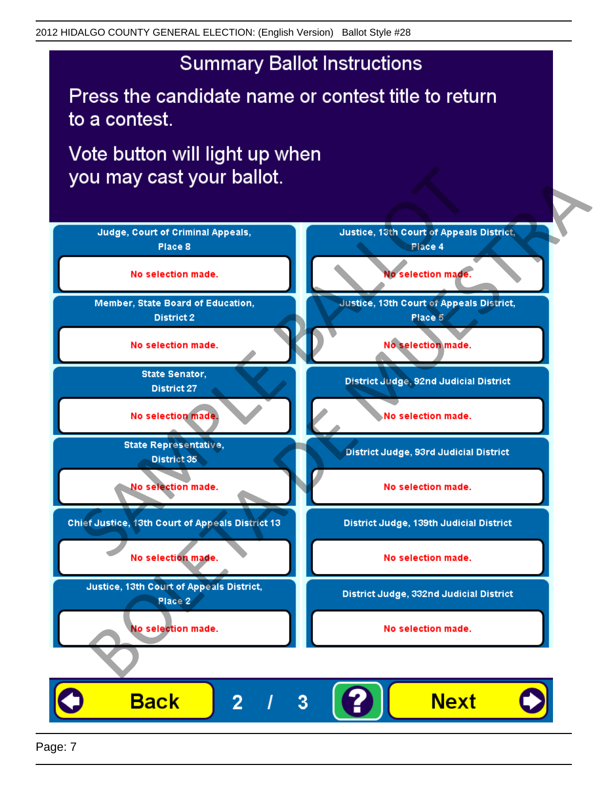## **Summary Ballot Instructions**

Press the candidate name or contest title to return to a contest.

Vote button will light up when

![](_page_6_Figure_4.jpeg)